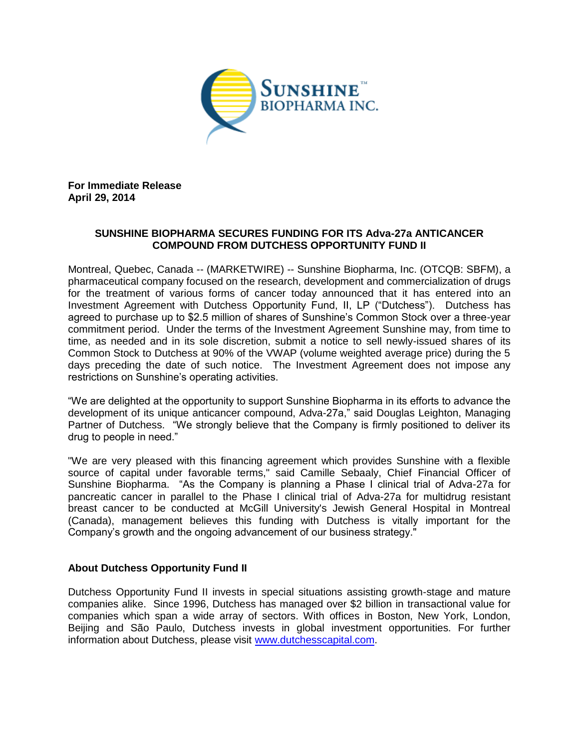

**For Immediate Release April 29, 2014**

# **SUNSHINE BIOPHARMA SECURES FUNDING FOR ITS Adva-27a ANTICANCER COMPOUND FROM DUTCHESS OPPORTUNITY FUND II**

Montreal, Quebec, Canada -- (MARKETWIRE) -- Sunshine Biopharma, Inc. (OTCQB: SBFM), a pharmaceutical company focused on the research, development and commercialization of drugs for the treatment of various forms of cancer today announced that it has entered into an Investment Agreement with Dutchess Opportunity Fund, II, LP ("Dutchess"). Dutchess has agreed to purchase up to \$2.5 million of shares of Sunshine's Common Stock over a three-year commitment period. Under the terms of the Investment Agreement Sunshine may, from time to time, as needed and in its sole discretion, submit a notice to sell newly-issued shares of its Common Stock to Dutchess at 90% of the VWAP (volume weighted average price) during the 5 days preceding the date of such notice. The Investment Agreement does not impose any restrictions on Sunshine's operating activities.

"We are delighted at the opportunity to support Sunshine Biopharma in its efforts to advance the development of its unique anticancer compound, Adva-27a," said Douglas Leighton, Managing Partner of Dutchess. "We strongly believe that the Company is firmly positioned to deliver its drug to people in need."

"We are very pleased with this financing agreement which provides Sunshine with a flexible source of capital under favorable terms," said Camille Sebaaly, Chief Financial Officer of Sunshine Biopharma. "As the Company is planning a Phase I clinical trial of Adva-27a for pancreatic cancer in parallel to the Phase I clinical trial of Adva-27a for multidrug resistant breast cancer to be conducted at McGill University's Jewish General Hospital in Montreal (Canada), management believes this funding with Dutchess is vitally important for the Company's growth and the ongoing advancement of our business strategy."

## **About Dutchess Opportunity Fund II**

Dutchess Opportunity Fund II invests in special situations assisting growth-stage and mature companies alike. Since 1996, Dutchess has managed over \$2 billion in transactional value for companies which span a wide array of sectors. With offices in Boston, New York, London, Beijing and São Paulo, Dutchess invests in global investment opportunities. For further information about Dutchess, please visit [www.dutchesscapital.com.](http://www.dutchesscapital.com/)